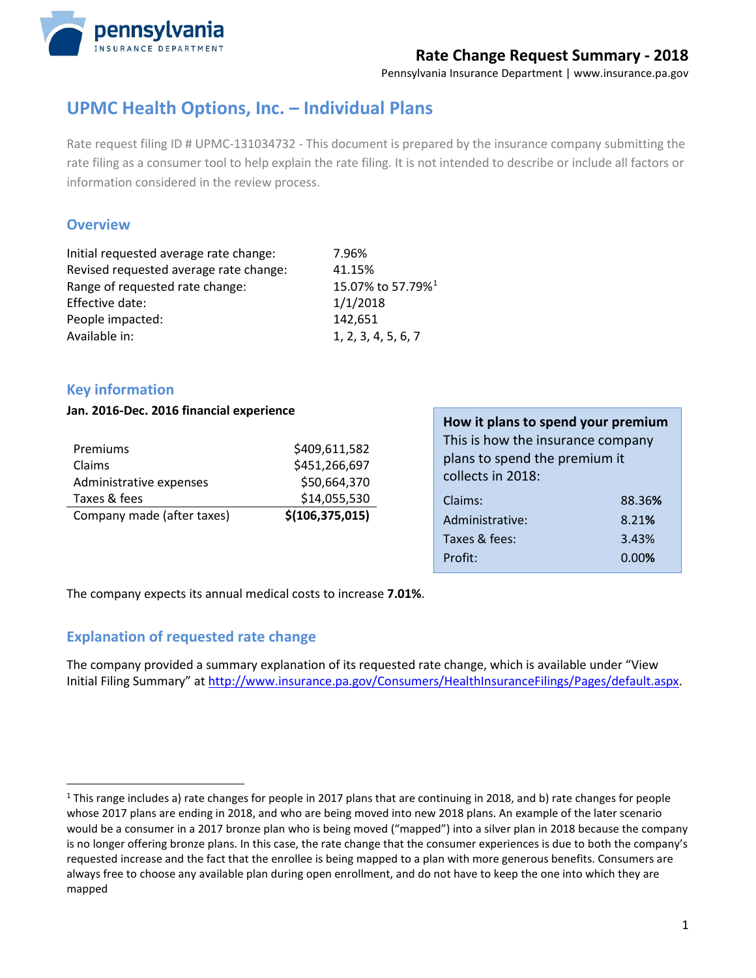

## **Rate Change Request Summary - 2018**

Pennsylvania Insurance Department | [www.insurance.pa.gov](http://www.insurance.pa.gov/)

# **UPMC Health Options, Inc. – Individual Plans**

Rate request filing ID # UPMC-131034732 - This document is prepared by the insurance company submitting the rate filing as a consumer tool to help explain the rate filing. It is not intended to describe or include all factors or information considered in the review process.

### **Overview**

| Initial requested average rate change: | 7.96%                         |
|----------------------------------------|-------------------------------|
| Revised requested average rate change: | 41.15%                        |
| Range of requested rate change:        | 15.07% to 57.79% <sup>1</sup> |
| Effective date:                        | 1/1/2018                      |
| People impacted:                       | 142,651                       |
| Available in:                          | 1, 2, 3, 4, 5, 6, 7           |
|                                        |                               |

## **Key information**

#### **Jan. 2016-Dec. 2016 financial experience**

| Premiums                   | \$409,611,582     |
|----------------------------|-------------------|
| Claims                     | \$451,266,697     |
| Administrative expenses    | \$50,664,370      |
| Taxes & fees               | \$14,055,530      |
| Company made (after taxes) | \$(106, 375, 015) |

| How it plans to spend your premium |        |  |
|------------------------------------|--------|--|
| This is how the insurance company  |        |  |
| plans to spend the premium it      |        |  |
| collects in 2018:                  |        |  |
| Claims:                            | 88.36% |  |
| Administrative:                    | 8.21%  |  |
| Taxes & fees:                      | 3.43%  |  |
| Profit:                            | 0.00%  |  |

The company expects its annual medical costs to increase **7.01%**.

### **Explanation of requested rate change**

The company provided a summary explanation of its requested rate change, which is available under "View Initial Filing Summary" a[t http://www.insurance.pa.gov/Consumers/HealthInsuranceFilings/Pages/default.aspx.](http://www.insurance.pa.gov/Consumers/HealthInsuranceFilings/Pages/default.aspx)

<span id="page-0-0"></span> $1$  This range includes a) rate changes for people in 2017 plans that are continuing in 2018, and b) rate changes for people whose 2017 plans are ending in 2018, and who are being moved into new 2018 plans. An example of the later scenario would be a consumer in a 2017 bronze plan who is being moved ("mapped") into a silver plan in 2018 because the company is no longer offering bronze plans. In this case, the rate change that the consumer experiences is due to both the company's requested increase and the fact that the enrollee is being mapped to a plan with more generous benefits. Consumers are always free to choose any available plan during open enrollment, and do not have to keep the one into which they are mapped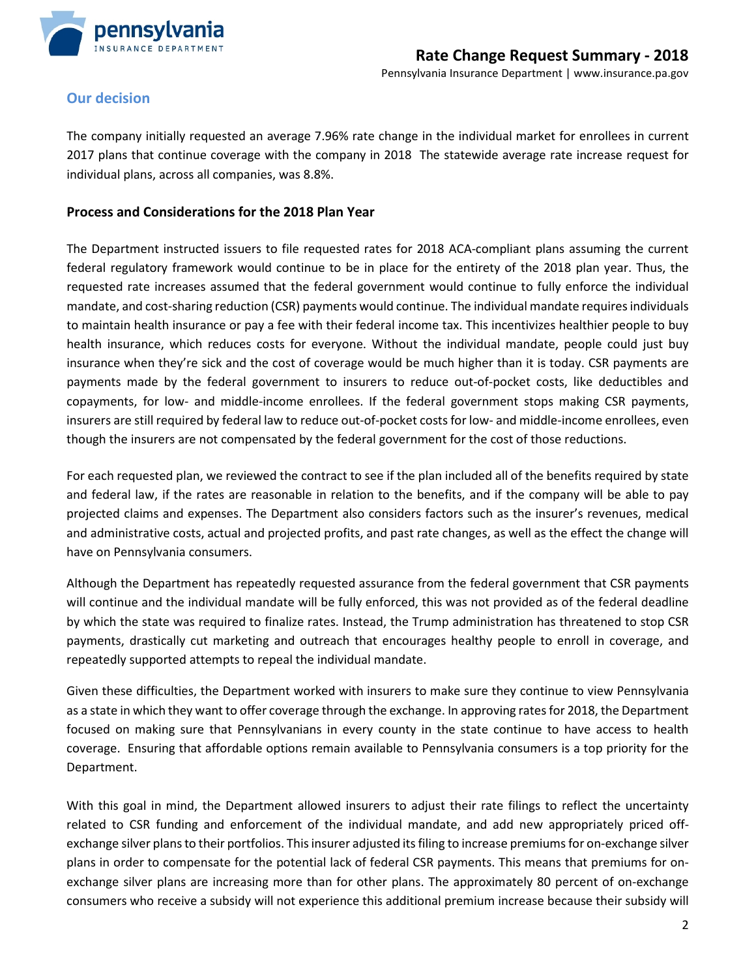

### **Our decision**

The company initially requested an average 7.96% rate change in the individual market for enrollees in current 2017 plans that continue coverage with the company in 2018 The statewide average rate increase request for individual plans, across all companies, was 8.8%.

#### **Process and Considerations for the 2018 Plan Year**

The Department instructed issuers to file requested rates for 2018 ACA-compliant plans assuming the current federal regulatory framework would continue to be in place for the entirety of the 2018 plan year. Thus, the requested rate increases assumed that the federal government would continue to fully enforce the individual mandate, and cost-sharing reduction (CSR) payments would continue. The individual mandate requires individuals to maintain health insurance or pay a fee with their federal income tax. This incentivizes healthier people to buy health insurance, which reduces costs for everyone. Without the individual mandate, people could just buy insurance when they're sick and the cost of coverage would be much higher than it is today. CSR payments are payments made by the federal government to insurers to reduce out-of-pocket costs, like deductibles and copayments, for low- and middle-income enrollees. If the federal government stops making CSR payments, insurers are still required by federal law to reduce out-of-pocket costs for low- and middle-income enrollees, even though the insurers are not compensated by the federal government for the cost of those reductions.

For each requested plan, we reviewed the contract to see if the plan included all of the benefits required by state and federal law, if the rates are reasonable in relation to the benefits, and if the company will be able to pay projected claims and expenses. The Department also considers factors such as the insurer's revenues, medical and administrative costs, actual and projected profits, and past rate changes, as well as the effect the change will have on Pennsylvania consumers.

Although the Department has repeatedly requested assurance from the federal government that CSR payments will continue and the individual mandate will be fully enforced, this was not provided as of the federal deadline by which the state was required to finalize rates. Instead, the Trump administration has threatened to stop CSR payments, drastically cut marketing and outreach that encourages healthy people to enroll in coverage, and repeatedly supported attempts to repeal the individual mandate.

Given these difficulties, the Department worked with insurers to make sure they continue to view Pennsylvania as a state in which they want to offer coverage through the exchange. In approving rates for 2018, the Department focused on making sure that Pennsylvanians in every county in the state continue to have access to health coverage. Ensuring that affordable options remain available to Pennsylvania consumers is a top priority for the Department.

With this goal in mind, the Department allowed insurers to adjust their rate filings to reflect the uncertainty related to CSR funding and enforcement of the individual mandate, and add new appropriately priced offexchange silver plans to their portfolios. This insurer adjusted its filing to increase premiums for on-exchange silver plans in order to compensate for the potential lack of federal CSR payments. This means that premiums for onexchange silver plans are increasing more than for other plans. The approximately 80 percent of on-exchange consumers who receive a subsidy will not experience this additional premium increase because their subsidy will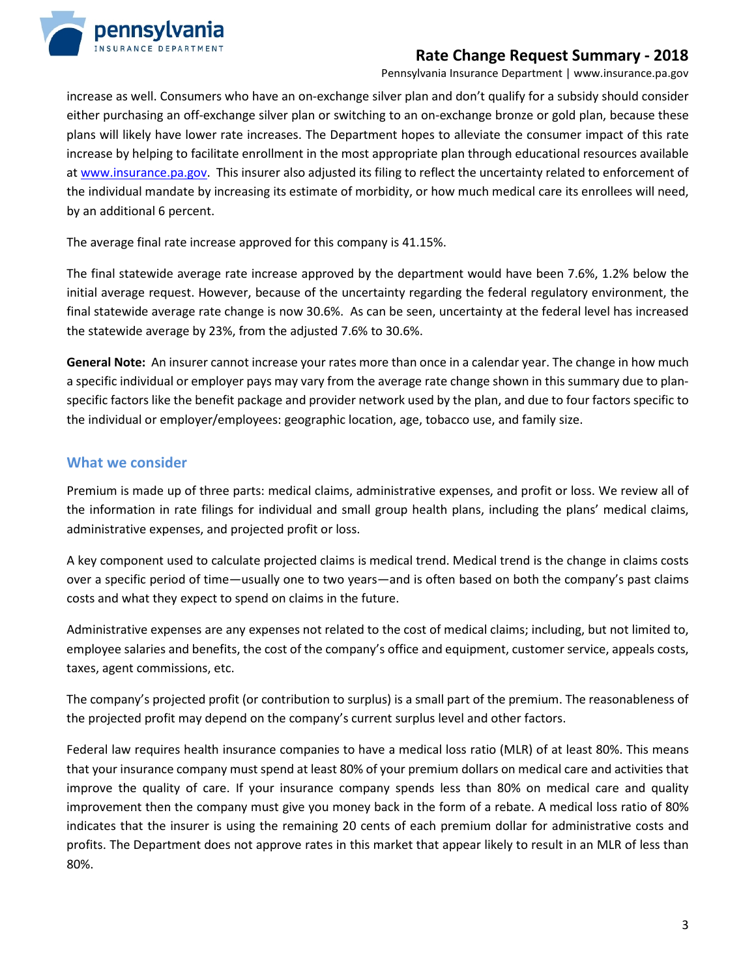

## **Rate Change Request Summary - 2018**

Pennsylvania Insurance Department | [www.insurance.pa.gov](http://www.insurance.pa.gov/)

increase as well. Consumers who have an on-exchange silver plan and don't qualify for a subsidy should consider either purchasing an off-exchange silver plan or switching to an on-exchange bronze or gold plan, because these plans will likely have lower rate increases. The Department hopes to alleviate the consumer impact of this rate increase by helping to facilitate enrollment in the most appropriate plan through educational resources available at [www.insurance.pa.gov.](http://www.insurance.pa.gov/getcovered) This insurer also adjusted its filing to reflect the uncertainty related to enforcement of the individual mandate by increasing its estimate of morbidity, or how much medical care its enrollees will need, by an additional 6 percent.

The average final rate increase approved for this company is 41.15%.

The final statewide average rate increase approved by the department would have been 7.6%, 1.2% below the initial average request. However, because of the uncertainty regarding the federal regulatory environment, the final statewide average rate change is now 30.6%. As can be seen, uncertainty at the federal level has increased the statewide average by 23%, from the adjusted 7.6% to 30.6%.

**General Note:** An insurer cannot increase your rates more than once in a calendar year. The change in how much a specific individual or employer pays may vary from the average rate change shown in this summary due to planspecific factors like the benefit package and provider network used by the plan, and due to four factors specific to the individual or employer/employees: geographic location, age, tobacco use, and family size.

### **What we consider**

Premium is made up of three parts: medical claims, administrative expenses, and profit or loss. We review all of the information in rate filings for individual and small group health plans, including the plans' medical claims, administrative expenses, and projected profit or loss.

A key component used to calculate projected claims is medical trend. Medical trend is the change in claims costs over a specific period of time—usually one to two years—and is often based on both the company's past claims costs and what they expect to spend on claims in the future.

Administrative expenses are any expenses not related to the cost of medical claims; including, but not limited to, employee salaries and benefits, the cost of the company's office and equipment, customer service, appeals costs, taxes, agent commissions, etc.

The company's projected profit (or contribution to surplus) is a small part of the premium. The reasonableness of the projected profit may depend on the company's current surplus level and other factors.

Federal law requires health insurance companies to have a medical loss ratio (MLR) of at least 80%. This means that your insurance company must spend at least 80% of your premium dollars on medical care and activities that improve the quality of care. If your insurance company spends less than 80% on medical care and quality improvement then the company must give you money back in the form of a rebate. A medical loss ratio of 80% indicates that the insurer is using the remaining 20 cents of each premium dollar for administrative costs and profits. The Department does not approve rates in this market that appear likely to result in an MLR of less than 80%.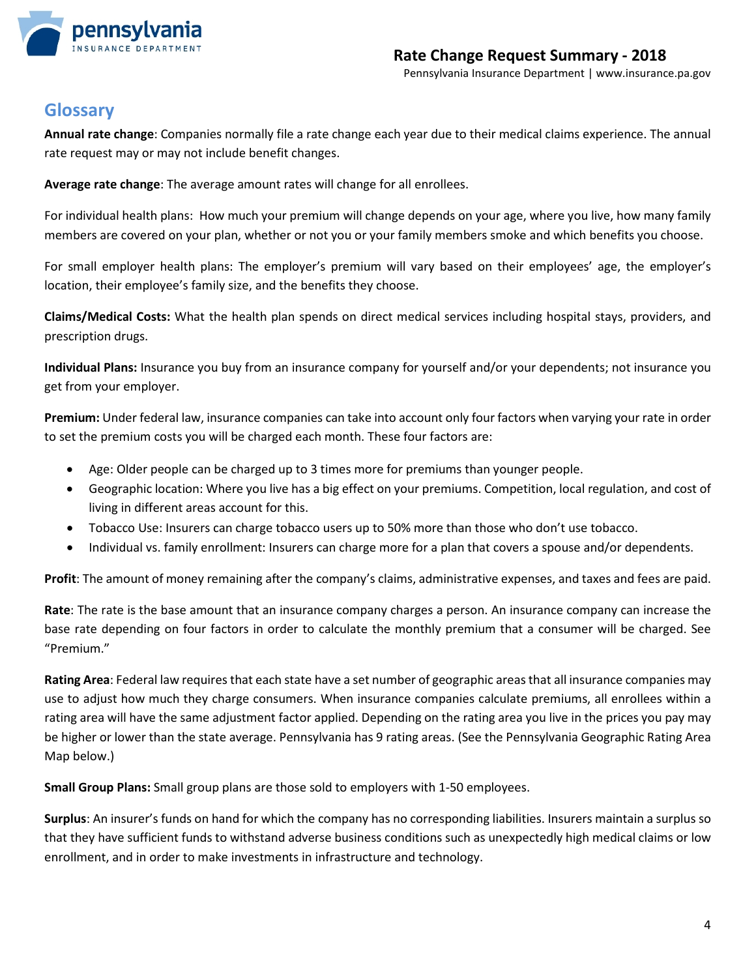

## **Glossary**

**Annual rate change**: Companies normally file a rate change each year due to their medical claims experience. The annual rate request may or may not include benefit changes.

**Average rate change**: The average amount rates will change for all enrollees.

For individual health plans: How much your premium will change depends on your age, where you live, how many family members are covered on your plan, whether or not you or your family members smoke and which benefits you choose.

For small employer health plans: The employer's premium will vary based on their employees' age, the employer's location, their employee's family size, and the benefits they choose.

**Claims/Medical Costs:** What the health plan spends on direct medical services including hospital stays, providers, and prescription drugs.

**Individual Plans:** Insurance you buy from an insurance company for yourself and/or your dependents; not insurance you get from your employer.

**Premium:** Under federal law, insurance companies can take into account only four factors when varying your rate in order to set the premium costs you will be charged each month. These four factors are:

- Age: Older people can be charged up to 3 times more for premiums than younger people.
- Geographic location: Where you live has a big effect on your premiums. Competition, local regulation, and cost of living in different areas account for this.
- Tobacco Use: Insurers can charge tobacco users up to 50% more than those who don't use tobacco.
- Individual vs. family enrollment: Insurers can charge more for a plan that covers a spouse and/or dependents.

**Profit**: The amount of money remaining after the company's claims, administrative expenses, and taxes and fees are paid.

**Rate**: The rate is the base amount that an insurance company charges a person. An insurance company can increase the base rate depending on four factors in order to calculate the monthly premium that a consumer will be charged. See "Premium."

**Rating Area**: Federal law requires that each state have a set number of geographic areas that all insurance companies may use to adjust how much they charge consumers. When insurance companies calculate premiums, all enrollees within a rating area will have the same adjustment factor applied. Depending on the rating area you live in the prices you pay may be higher or lower than the state average. Pennsylvania has 9 rating areas. (See the Pennsylvania Geographic Rating Area Map below.)

**Small Group Plans:** Small group plans are those sold to employers with 1-50 employees.

**Surplus**: An insurer's funds on hand for which the company has no corresponding liabilities. Insurers maintain a surplus so that they have sufficient funds to withstand adverse business conditions such as unexpectedly high medical claims or low enrollment, and in order to make investments in infrastructure and technology.